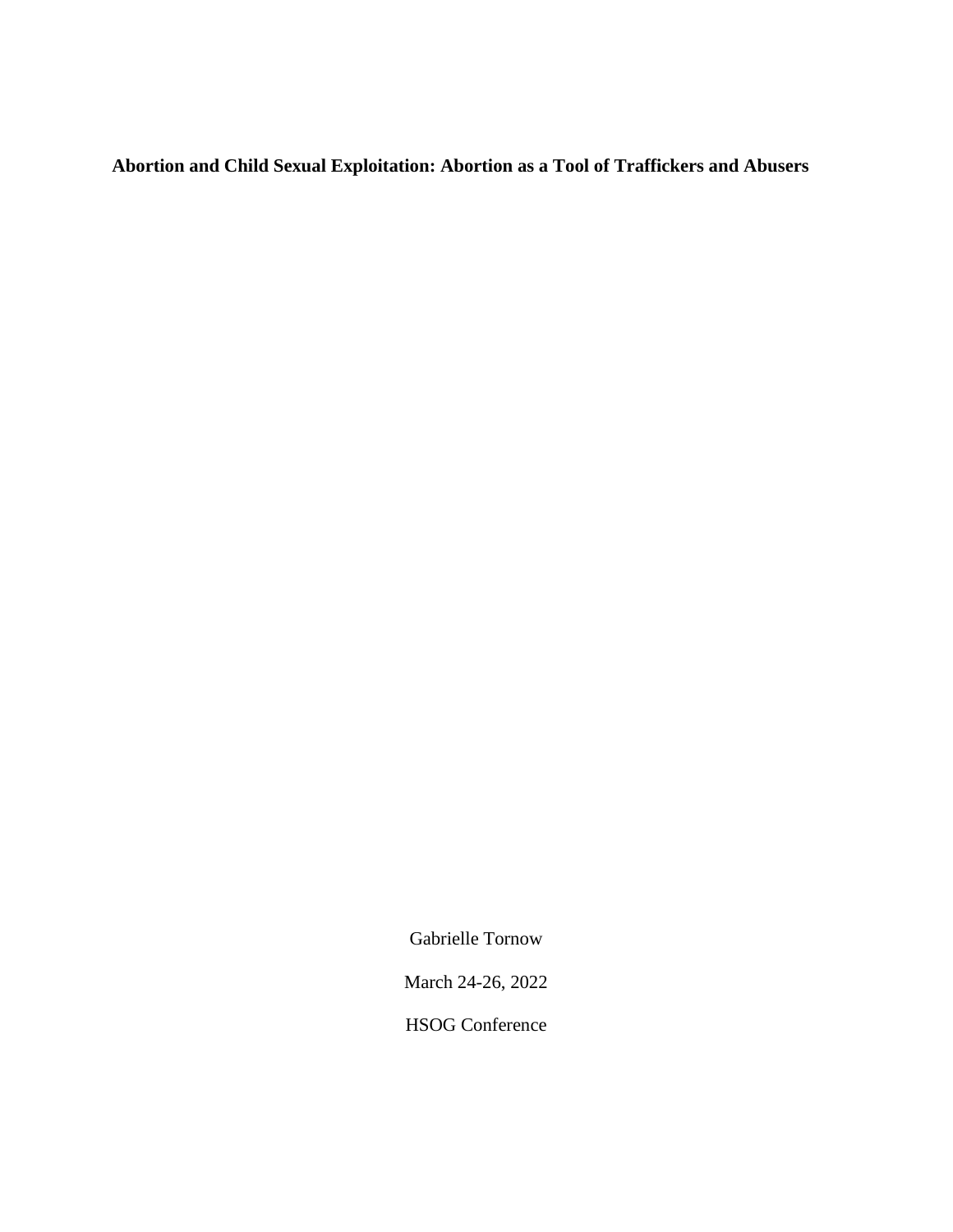**Abortion and Child Sexual Exploitation: Abortion as a Tool of Traffickers and Abusers**

Gabrielle Tornow

March 24-26, 2022

HSOG Conference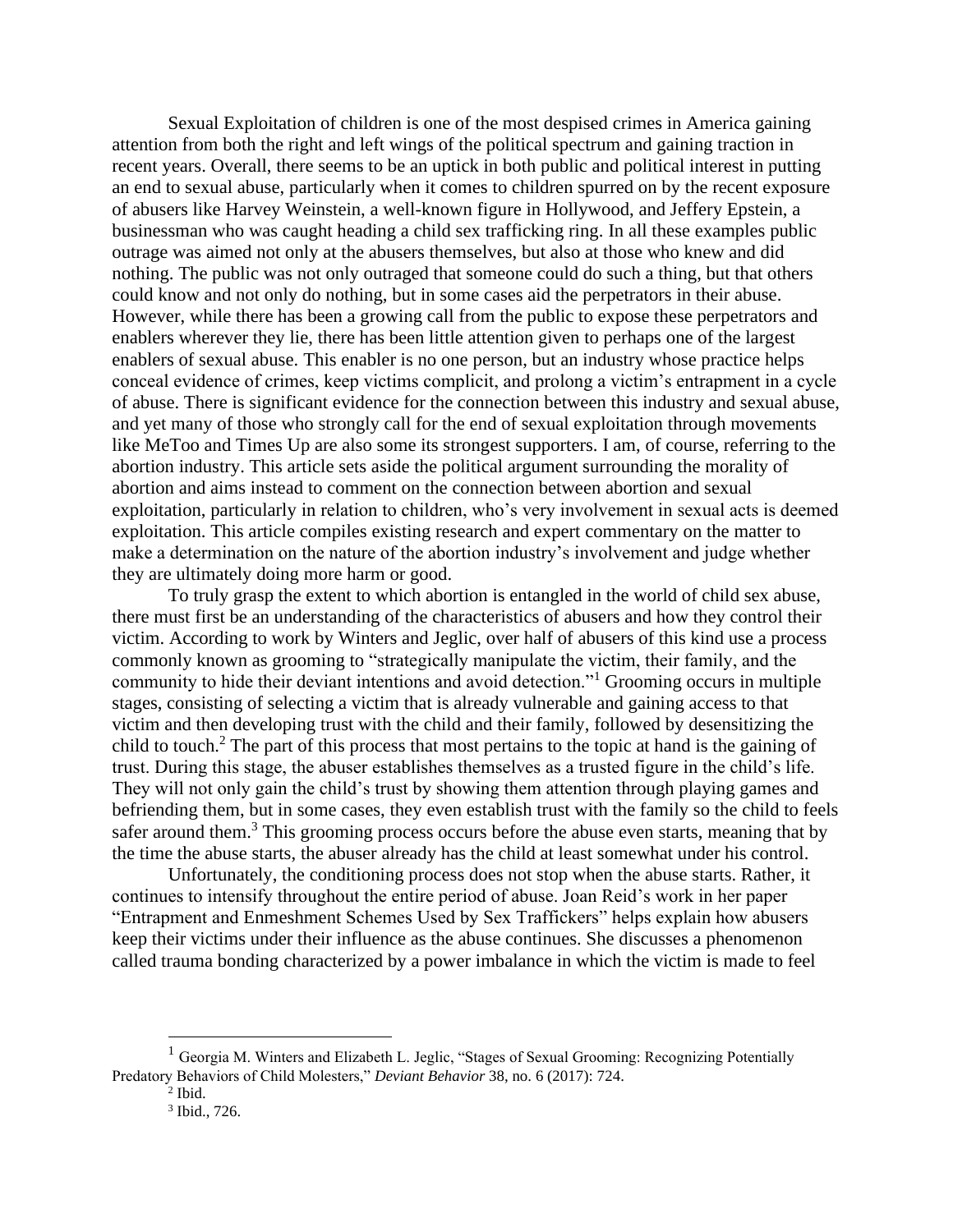Sexual Exploitation of children is one of the most despised crimes in America gaining attention from both the right and left wings of the political spectrum and gaining traction in recent years. Overall, there seems to be an uptick in both public and political interest in putting an end to sexual abuse, particularly when it comes to children spurred on by the recent exposure of abusers like Harvey Weinstein, a well-known figure in Hollywood, and Jeffery Epstein, a businessman who was caught heading a child sex trafficking ring. In all these examples public outrage was aimed not only at the abusers themselves, but also at those who knew and did nothing. The public was not only outraged that someone could do such a thing, but that others could know and not only do nothing, but in some cases aid the perpetrators in their abuse. However, while there has been a growing call from the public to expose these perpetrators and enablers wherever they lie, there has been little attention given to perhaps one of the largest enablers of sexual abuse. This enabler is no one person, but an industry whose practice helps conceal evidence of crimes, keep victims complicit, and prolong a victim's entrapment in a cycle of abuse. There is significant evidence for the connection between this industry and sexual abuse, and yet many of those who strongly call for the end of sexual exploitation through movements like MeToo and Times Up are also some its strongest supporters. I am, of course, referring to the abortion industry. This article sets aside the political argument surrounding the morality of abortion and aims instead to comment on the connection between abortion and sexual exploitation, particularly in relation to children, who's very involvement in sexual acts is deemed exploitation. This article compiles existing research and expert commentary on the matter to make a determination on the nature of the abortion industry's involvement and judge whether they are ultimately doing more harm or good.

To truly grasp the extent to which abortion is entangled in the world of child sex abuse, there must first be an understanding of the characteristics of abusers and how they control their victim. According to work by Winters and Jeglic, over half of abusers of this kind use a process commonly known as grooming to "strategically manipulate the victim, their family, and the community to hide their deviant intentions and avoid detection."<sup>1</sup> Grooming occurs in multiple stages, consisting of selecting a victim that is already vulnerable and gaining access to that victim and then developing trust with the child and their family, followed by desensitizing the child to touch.<sup>2</sup> The part of this process that most pertains to the topic at hand is the gaining of trust. During this stage, the abuser establishes themselves as a trusted figure in the child's life. They will not only gain the child's trust by showing them attention through playing games and befriending them, but in some cases, they even establish trust with the family so the child to feels safer around them.<sup>3</sup> This grooming process occurs before the abuse even starts, meaning that by the time the abuse starts, the abuser already has the child at least somewhat under his control.

Unfortunately, the conditioning process does not stop when the abuse starts. Rather, it continues to intensify throughout the entire period of abuse. Joan Reid's work in her paper "Entrapment and Enmeshment Schemes Used by Sex Traffickers" helps explain how abusers keep their victims under their influence as the abuse continues. She discusses a phenomenon called trauma bonding characterized by a power imbalance in which the victim is made to feel

 $<sup>1</sup>$  Georgia M. Winters and Elizabeth L. Jeglic, "Stages of Sexual Grooming: Recognizing Potentially</sup> Predatory Behaviors of Child Molesters," *Deviant Behavior* 38, no. 6 (2017): 724.

 $<sup>2</sup>$  Ibid.</sup>

<sup>3</sup> Ibid., 726.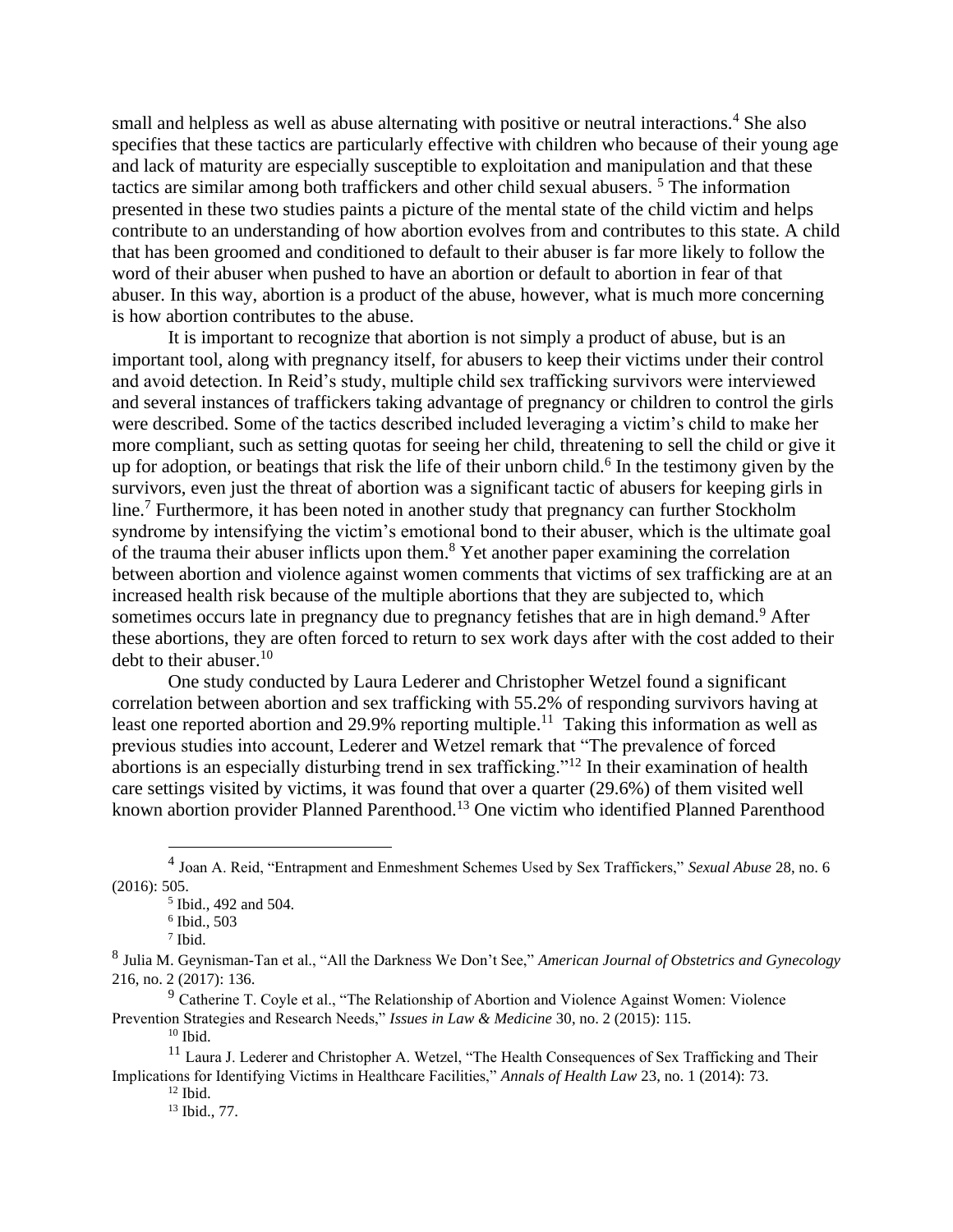small and helpless as well as abuse alternating with positive or neutral interactions.<sup>4</sup> She also specifies that these tactics are particularly effective with children who because of their young age and lack of maturity are especially susceptible to exploitation and manipulation and that these tactics are similar among both traffickers and other child sexual abusers.<sup>5</sup> The information presented in these two studies paints a picture of the mental state of the child victim and helps contribute to an understanding of how abortion evolves from and contributes to this state. A child that has been groomed and conditioned to default to their abuser is far more likely to follow the word of their abuser when pushed to have an abortion or default to abortion in fear of that abuser. In this way, abortion is a product of the abuse, however, what is much more concerning is how abortion contributes to the abuse.

It is important to recognize that abortion is not simply a product of abuse, but is an important tool, along with pregnancy itself, for abusers to keep their victims under their control and avoid detection. In Reid's study, multiple child sex trafficking survivors were interviewed and several instances of traffickers taking advantage of pregnancy or children to control the girls were described. Some of the tactics described included leveraging a victim's child to make her more compliant, such as setting quotas for seeing her child, threatening to sell the child or give it up for adoption, or beatings that risk the life of their unborn child.<sup>6</sup> In the testimony given by the survivors, even just the threat of abortion was a significant tactic of abusers for keeping girls in line.<sup>7</sup> Furthermore, it has been noted in another study that pregnancy can further Stockholm syndrome by intensifying the victim's emotional bond to their abuser, which is the ultimate goal of the trauma their abuser inflicts upon them.<sup>8</sup> Yet another paper examining the correlation between abortion and violence against women comments that victims of sex trafficking are at an increased health risk because of the multiple abortions that they are subjected to, which sometimes occurs late in pregnancy due to pregnancy fetishes that are in high demand.<sup>9</sup> After these abortions, they are often forced to return to sex work days after with the cost added to their debt to their abuser.  $10<sup>10</sup>$ 

One study conducted by Laura Lederer and Christopher Wetzel found a significant correlation between abortion and sex trafficking with 55.2% of responding survivors having at least one reported abortion and 29.9% reporting multiple.<sup>11</sup> Taking this information as well as previous studies into account, Lederer and Wetzel remark that "The prevalence of forced abortions is an especially disturbing trend in sex trafficking."<sup>12</sup> In their examination of health care settings visited by victims, it was found that over a quarter (29.6%) of them visited well known abortion provider Planned Parenthood.<sup>13</sup> One victim who identified Planned Parenthood

 $10$  Ibid.

<sup>4</sup> Joan A. Reid, "Entrapment and Enmeshment Schemes Used by Sex Traffickers," *Sexual Abuse* 28, no. 6 (2016): 505.

<sup>&</sup>lt;sup>5</sup> Ibid., 492 and 504.

<sup>6</sup> Ibid., 503

<sup>7</sup> Ibid.

<sup>8</sup> Julia M. Geynisman-Tan et al., "All the Darkness We Don't See," *American Journal of Obstetrics and Gynecology* 216, no. 2 (2017): 136.

 $9$  Catherine T. Coyle et al., "The Relationship of Abortion and Violence Against Women: Violence Prevention Strategies and Research Needs," *Issues in Law & Medicine* 30, no. 2 (2015): 115.

<sup>&</sup>lt;sup>11</sup> Laura J. Lederer and Christopher A. Wetzel, "The Health Consequences of Sex Trafficking and Their Implications for Identifying Victims in Healthcare Facilities," *Annals of Health Law* 23, no. 1 (2014): 73.

 $12$  Ibid.

<sup>13</sup> Ibid., 77.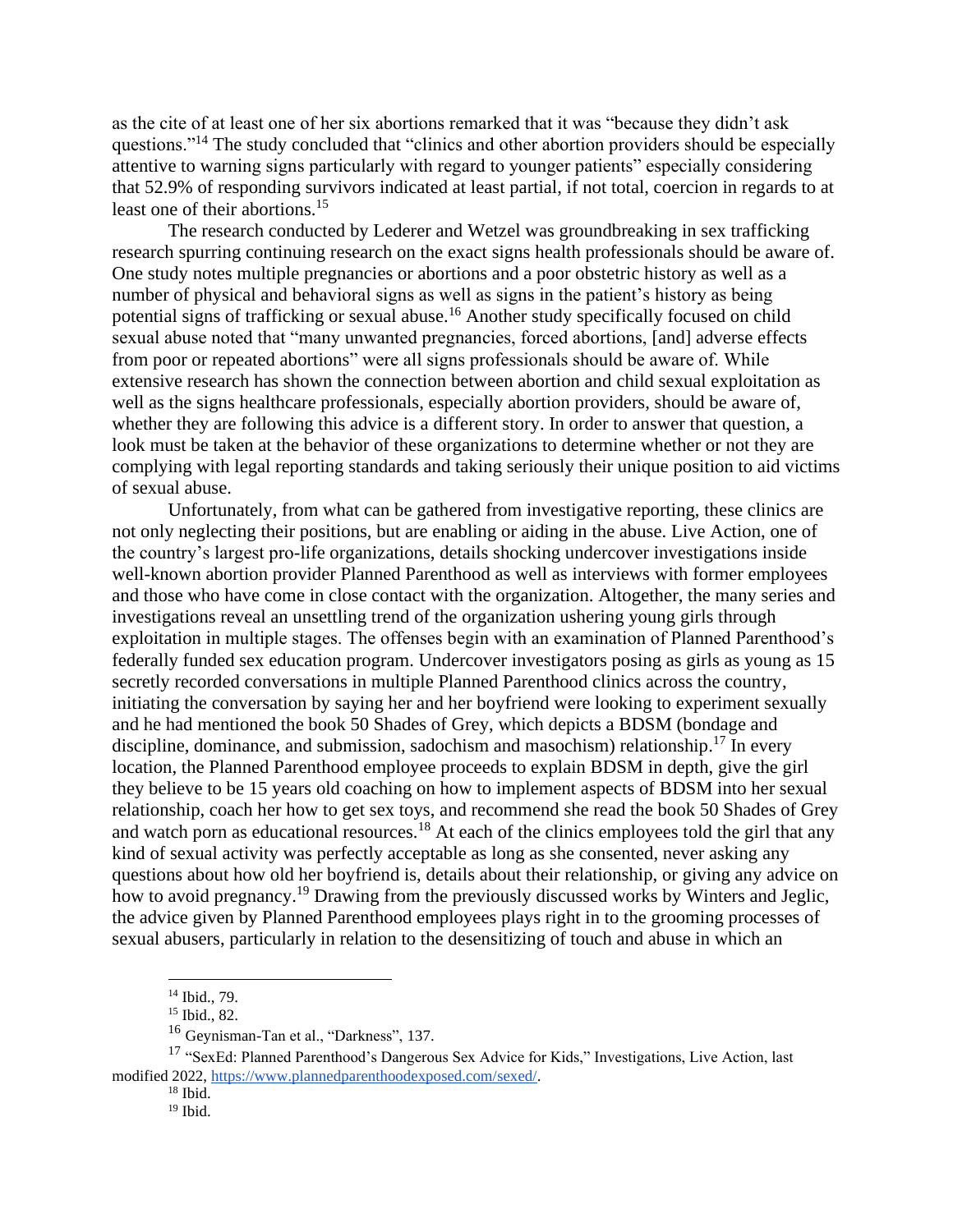as the cite of at least one of her six abortions remarked that it was "because they didn't ask questions."<sup>14</sup> The study concluded that "clinics and other abortion providers should be especially attentive to warning signs particularly with regard to younger patients" especially considering that 52.9% of responding survivors indicated at least partial, if not total, coercion in regards to at least one of their abortions.<sup>15</sup>

The research conducted by Lederer and Wetzel was groundbreaking in sex trafficking research spurring continuing research on the exact signs health professionals should be aware of. One study notes multiple pregnancies or abortions and a poor obstetric history as well as a number of physical and behavioral signs as well as signs in the patient's history as being potential signs of trafficking or sexual abuse.<sup>16</sup> Another study specifically focused on child sexual abuse noted that "many unwanted pregnancies, forced abortions, [and] adverse effects from poor or repeated abortions" were all signs professionals should be aware of. While extensive research has shown the connection between abortion and child sexual exploitation as well as the signs healthcare professionals, especially abortion providers, should be aware of, whether they are following this advice is a different story. In order to answer that question, a look must be taken at the behavior of these organizations to determine whether or not they are complying with legal reporting standards and taking seriously their unique position to aid victims of sexual abuse.

Unfortunately, from what can be gathered from investigative reporting, these clinics are not only neglecting their positions, but are enabling or aiding in the abuse. Live Action, one of the country's largest pro-life organizations, details shocking undercover investigations inside well-known abortion provider Planned Parenthood as well as interviews with former employees and those who have come in close contact with the organization. Altogether, the many series and investigations reveal an unsettling trend of the organization ushering young girls through exploitation in multiple stages. The offenses begin with an examination of Planned Parenthood's federally funded sex education program. Undercover investigators posing as girls as young as 15 secretly recorded conversations in multiple Planned Parenthood clinics across the country, initiating the conversation by saying her and her boyfriend were looking to experiment sexually and he had mentioned the book 50 Shades of Grey, which depicts a BDSM (bondage and discipline, dominance, and submission, sadochism and masochism) relationship.<sup>17</sup> In every location, the Planned Parenthood employee proceeds to explain BDSM in depth, give the girl they believe to be 15 years old coaching on how to implement aspects of BDSM into her sexual relationship, coach her how to get sex toys, and recommend she read the book 50 Shades of Grey and watch porn as educational resources.<sup>18</sup> At each of the clinics employees told the girl that any kind of sexual activity was perfectly acceptable as long as she consented, never asking any questions about how old her boyfriend is, details about their relationship, or giving any advice on how to avoid pregnancy.<sup>19</sup> Drawing from the previously discussed works by Winters and Jeglic, the advice given by Planned Parenthood employees plays right in to the grooming processes of sexual abusers, particularly in relation to the desensitizing of touch and abuse in which an

<sup>14</sup> Ibid., 79.

<sup>15</sup> Ibid., 82.

<sup>16</sup> Geynisman-Tan et al., "Darkness", 137.

<sup>&</sup>lt;sup>17</sup> "SexEd: Planned Parenthood's Dangerous Sex Advice for Kids," Investigations, Live Action, last modified 2022[, https://www.plannedparenthoodexposed.com/sexed/.](https://www.plannedparenthoodexposed.com/sexed/)

 $18$  Ibid.

<sup>19</sup> Ibid.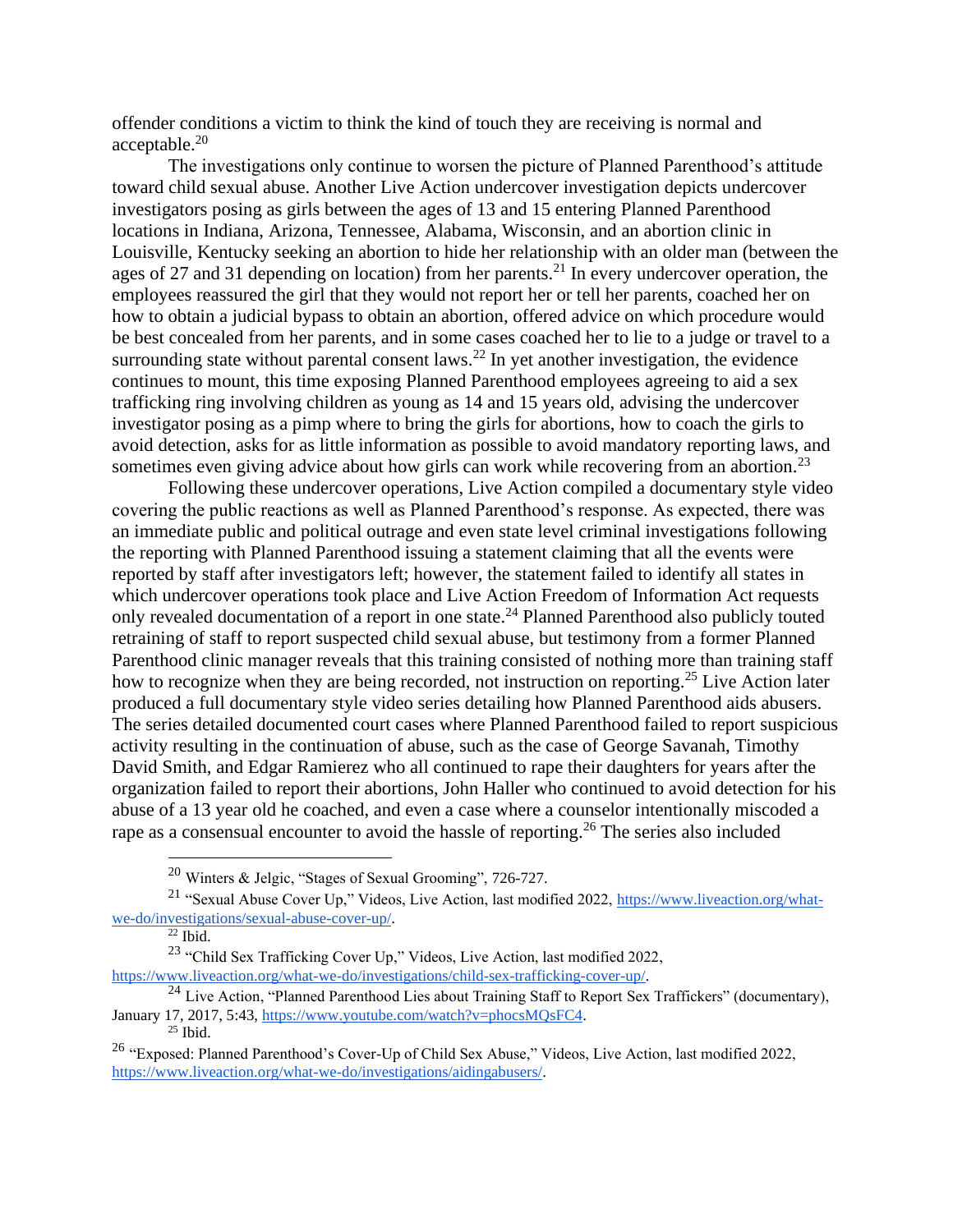offender conditions a victim to think the kind of touch they are receiving is normal and acceptable.<sup>20</sup>

The investigations only continue to worsen the picture of Planned Parenthood's attitude toward child sexual abuse. Another Live Action undercover investigation depicts undercover investigators posing as girls between the ages of 13 and 15 entering Planned Parenthood locations in Indiana, Arizona, Tennessee, Alabama, Wisconsin, and an abortion clinic in Louisville, Kentucky seeking an abortion to hide her relationship with an older man (between the ages of 27 and 31 depending on location) from her parents.<sup>21</sup> In every undercover operation, the employees reassured the girl that they would not report her or tell her parents, coached her on how to obtain a judicial bypass to obtain an abortion, offered advice on which procedure would be best concealed from her parents, and in some cases coached her to lie to a judge or travel to a surrounding state without parental consent laws.<sup>22</sup> In yet another investigation, the evidence continues to mount, this time exposing Planned Parenthood employees agreeing to aid a sex trafficking ring involving children as young as 14 and 15 years old, advising the undercover investigator posing as a pimp where to bring the girls for abortions, how to coach the girls to avoid detection, asks for as little information as possible to avoid mandatory reporting laws, and sometimes even giving advice about how girls can work while recovering from an abortion.<sup>23</sup>

Following these undercover operations, Live Action compiled a documentary style video covering the public reactions as well as Planned Parenthood's response. As expected, there was an immediate public and political outrage and even state level criminal investigations following the reporting with Planned Parenthood issuing a statement claiming that all the events were reported by staff after investigators left; however, the statement failed to identify all states in which undercover operations took place and Live Action Freedom of Information Act requests only revealed documentation of a report in one state.<sup>24</sup> Planned Parenthood also publicly touted retraining of staff to report suspected child sexual abuse, but testimony from a former Planned Parenthood clinic manager reveals that this training consisted of nothing more than training staff how to recognize when they are being recorded, not instruction on reporting.<sup>25</sup> Live Action later produced a full documentary style video series detailing how Planned Parenthood aids abusers. The series detailed documented court cases where Planned Parenthood failed to report suspicious activity resulting in the continuation of abuse, such as the case of George Savanah, Timothy David Smith, and Edgar Ramierez who all continued to rape their daughters for years after the organization failed to report their abortions, John Haller who continued to avoid detection for his abuse of a 13 year old he coached, and even a case where a counselor intentionally miscoded a rape as a consensual encounter to avoid the hassle of reporting.<sup>26</sup> The series also included

<sup>20</sup> Winters & Jelgic, "Stages of Sexual Grooming", 726-727.

<sup>21</sup> "Sexual Abuse Cover Up," Videos, Live Action, last modified 2022, [https://www.liveaction.org/what](https://www.liveaction.org/what-we-do/investigations/sexual-abuse-cover-up/)[we-do/investigations/sexual-abuse-cover-up/.](https://www.liveaction.org/what-we-do/investigations/sexual-abuse-cover-up/)

 $\overline{^{22}$  Ibid.

<sup>&</sup>lt;sup>23</sup> "Child Sex Trafficking Cover Up," Videos, Live Action, last modified 2022, [https://www.liveaction.org/what-we-do/investigations/child-sex-trafficking-cover-up/.](https://www.liveaction.org/what-we-do/investigations/child-sex-trafficking-cover-up/)

<sup>&</sup>lt;sup>24</sup> Live Action, "Planned Parenthood Lies about Training Staff to Report Sex Traffickers" (documentary), January 17, 2017, 5:43, [https://www.youtube.com/watch?v=phocsMQsFC4.](https://www.youtube.com/watch?v=phocsMQsFC4)

<sup>25</sup> Ibid.

<sup>26</sup> "Exposed: Planned Parenthood's Cover-Up of Child Sex Abuse," Videos, Live Action, last modified 2022, [https://www.liveaction.org/what-we-do/investigations/aidingabusers/.](https://www.liveaction.org/what-we-do/investigations/aidingabusers/)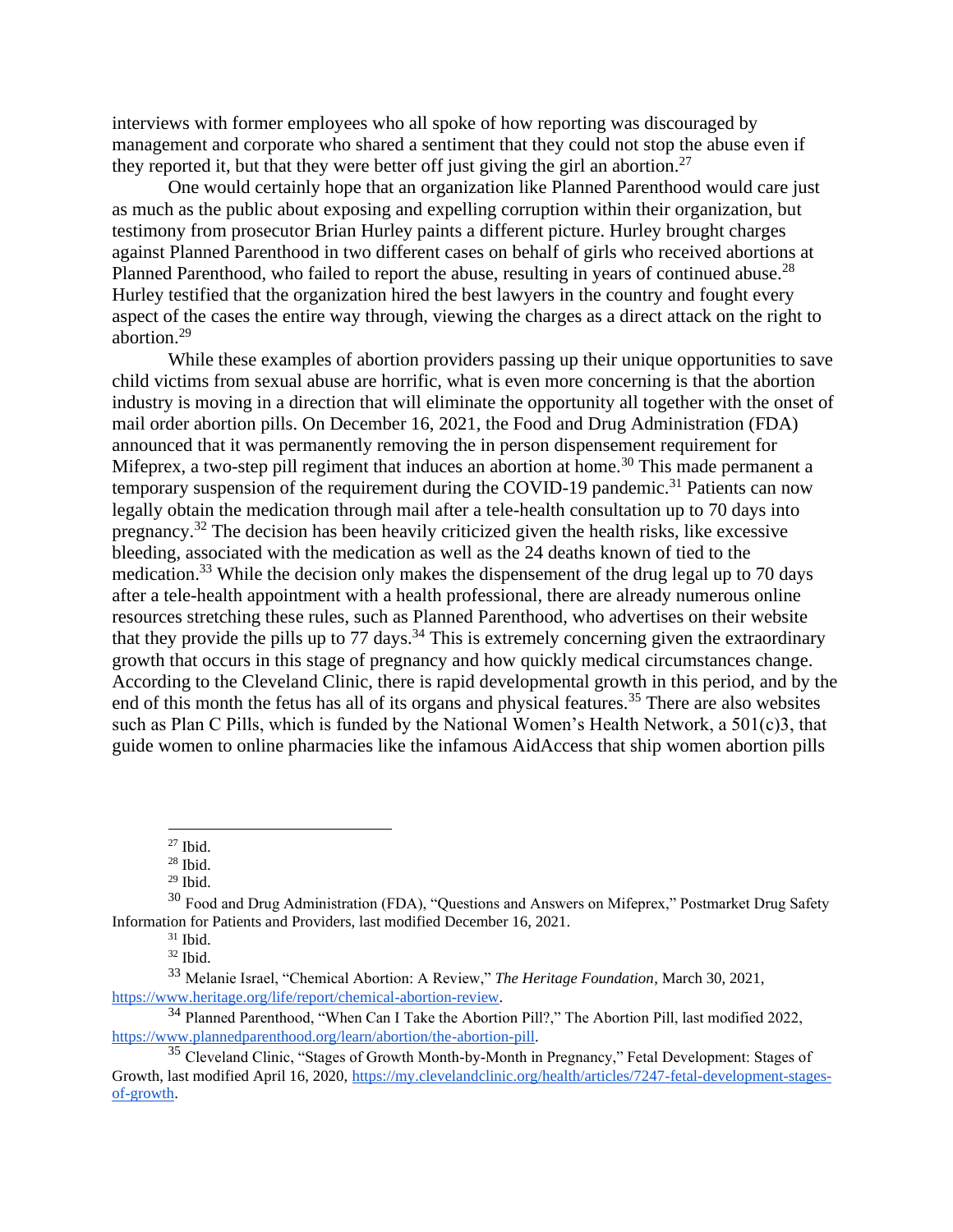interviews with former employees who all spoke of how reporting was discouraged by management and corporate who shared a sentiment that they could not stop the abuse even if they reported it, but that they were better off just giving the girl an abortion.<sup>27</sup>

One would certainly hope that an organization like Planned Parenthood would care just as much as the public about exposing and expelling corruption within their organization, but testimony from prosecutor Brian Hurley paints a different picture. Hurley brought charges against Planned Parenthood in two different cases on behalf of girls who received abortions at Planned Parenthood, who failed to report the abuse, resulting in years of continued abuse.<sup>28</sup> Hurley testified that the organization hired the best lawyers in the country and fought every aspect of the cases the entire way through, viewing the charges as a direct attack on the right to abortion.<sup>29</sup>

While these examples of abortion providers passing up their unique opportunities to save child victims from sexual abuse are horrific, what is even more concerning is that the abortion industry is moving in a direction that will eliminate the opportunity all together with the onset of mail order abortion pills. On December 16, 2021, the Food and Drug Administration (FDA) announced that it was permanently removing the in person dispensement requirement for Mifeprex, a two-step pill regiment that induces an abortion at home.<sup>30</sup> This made permanent a temporary suspension of the requirement during the COVID-19 pandemic.<sup>31</sup> Patients can now legally obtain the medication through mail after a tele-health consultation up to 70 days into pregnancy.<sup>32</sup> The decision has been heavily criticized given the health risks, like excessive bleeding, associated with the medication as well as the 24 deaths known of tied to the medication.<sup>33</sup> While the decision only makes the dispensement of the drug legal up to 70 days after a tele-health appointment with a health professional, there are already numerous online resources stretching these rules, such as Planned Parenthood, who advertises on their website that they provide the pills up to  $77 \text{ days}$ .<sup>34</sup> This is extremely concerning given the extraordinary growth that occurs in this stage of pregnancy and how quickly medical circumstances change. According to the Cleveland Clinic, there is rapid developmental growth in this period, and by the end of this month the fetus has all of its organs and physical features.<sup>35</sup> There are also websites such as Plan C Pills, which is funded by the National Women's Health Network, a 501(c)3, that guide women to online pharmacies like the infamous AidAccess that ship women abortion pills

 $27$  Ibid.

<sup>28</sup> Ibid.

 $29$  Ibid.

 $30$  Food and Drug Administration (FDA), "Questions and Answers on Mifeprex," Postmarket Drug Safety Information for Patients and Providers, last modified December 16, 2021.

 $31$  Ibid.

 $32$  Ibid.

<sup>33</sup> Melanie Israel, "Chemical Abortion: A Review," *The Heritage Foundation*, March 30, 2021, [https://www.heritage.org/life/report/chemical-abortion-review.](https://www.heritage.org/life/report/chemical-abortion-review)

<sup>&</sup>lt;sup>34</sup> Planned Parenthood, "When Can I Take the Abortion Pill?," The Abortion Pill, last modified 2022, [https://www.plannedparenthood.org/learn/abortion/the-abortion-pill.](https://www.plannedparenthood.org/learn/abortion/the-abortion-pill)

<sup>&</sup>lt;sup>35</sup> Cleveland Clinic, "Stages of Growth Month-by-Month in Pregnancy," Fetal Development: Stages of Growth, last modified April 16, 2020, [https://my.clevelandclinic.org/health/articles/7247-fetal-development-stages](https://my.clevelandclinic.org/health/articles/7247-fetal-development-stages-of-growth)[of-growth.](https://my.clevelandclinic.org/health/articles/7247-fetal-development-stages-of-growth)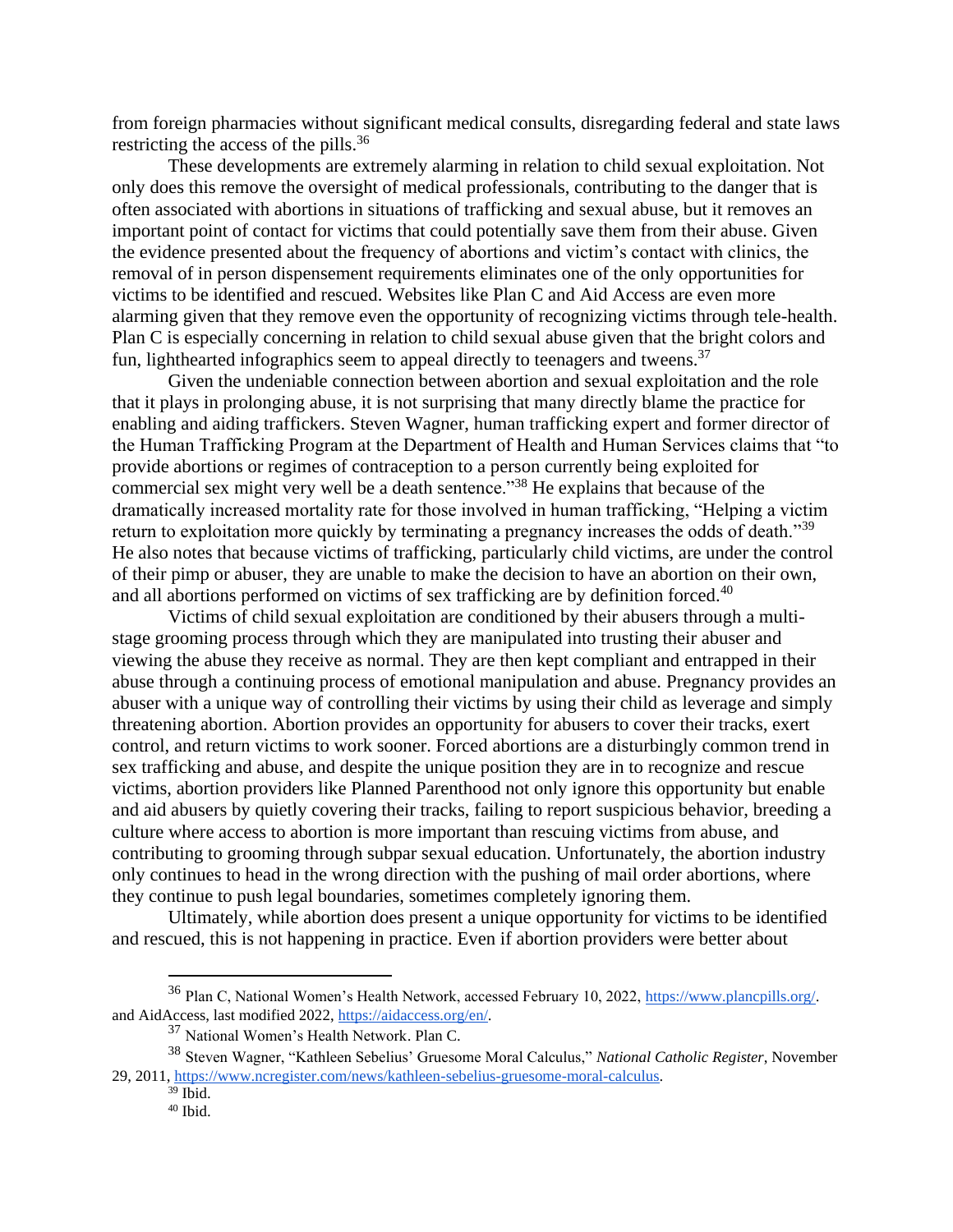from foreign pharmacies without significant medical consults, disregarding federal and state laws restricting the access of the pills.<sup>36</sup>

These developments are extremely alarming in relation to child sexual exploitation. Not only does this remove the oversight of medical professionals, contributing to the danger that is often associated with abortions in situations of trafficking and sexual abuse, but it removes an important point of contact for victims that could potentially save them from their abuse. Given the evidence presented about the frequency of abortions and victim's contact with clinics, the removal of in person dispensement requirements eliminates one of the only opportunities for victims to be identified and rescued. Websites like Plan C and Aid Access are even more alarming given that they remove even the opportunity of recognizing victims through tele-health. Plan C is especially concerning in relation to child sexual abuse given that the bright colors and fun, lighthearted infographics seem to appeal directly to teenagers and tweens.<sup>37</sup>

Given the undeniable connection between abortion and sexual exploitation and the role that it plays in prolonging abuse, it is not surprising that many directly blame the practice for enabling and aiding traffickers. Steven Wagner, human trafficking expert and former director of the Human Trafficking Program at the Department of Health and Human Services claims that "to provide abortions or regimes of contraception to a person currently being exploited for commercial sex might very well be a death sentence."<sup>38</sup> He explains that because of the dramatically increased mortality rate for those involved in human trafficking, "Helping a victim return to exploitation more quickly by terminating a pregnancy increases the odds of death.<sup>339</sup> He also notes that because victims of trafficking, particularly child victims, are under the control of their pimp or abuser, they are unable to make the decision to have an abortion on their own, and all abortions performed on victims of sex trafficking are by definition forced.<sup>40</sup>

Victims of child sexual exploitation are conditioned by their abusers through a multistage grooming process through which they are manipulated into trusting their abuser and viewing the abuse they receive as normal. They are then kept compliant and entrapped in their abuse through a continuing process of emotional manipulation and abuse. Pregnancy provides an abuser with a unique way of controlling their victims by using their child as leverage and simply threatening abortion. Abortion provides an opportunity for abusers to cover their tracks, exert control, and return victims to work sooner. Forced abortions are a disturbingly common trend in sex trafficking and abuse, and despite the unique position they are in to recognize and rescue victims, abortion providers like Planned Parenthood not only ignore this opportunity but enable and aid abusers by quietly covering their tracks, failing to report suspicious behavior, breeding a culture where access to abortion is more important than rescuing victims from abuse, and contributing to grooming through subpar sexual education. Unfortunately, the abortion industry only continues to head in the wrong direction with the pushing of mail order abortions, where they continue to push legal boundaries, sometimes completely ignoring them.

Ultimately, while abortion does present a unique opportunity for victims to be identified and rescued, this is not happening in practice. Even if abortion providers were better about

<sup>36</sup> Plan C, National Women's Health Network, accessed February 10, 2022, [https://www.plancpills.org/.](https://www.plancpills.org/) and AidAccess, last modified 2022, [https://aidaccess.org/en/.](https://aidaccess.org/en/)

<sup>37</sup> National Women's Health Network. Plan C.

<sup>38</sup> Steven Wagner, "Kathleen Sebelius' Gruesome Moral Calculus," *National Catholic Register*, November 29, 2011, [https://www.ncregister.com/news/kathleen-sebelius-gruesome-moral-calculus.](https://www.ncregister.com/news/kathleen-sebelius-gruesome-moral-calculus)

 $39$  Ibid.

 $40$  Ibid.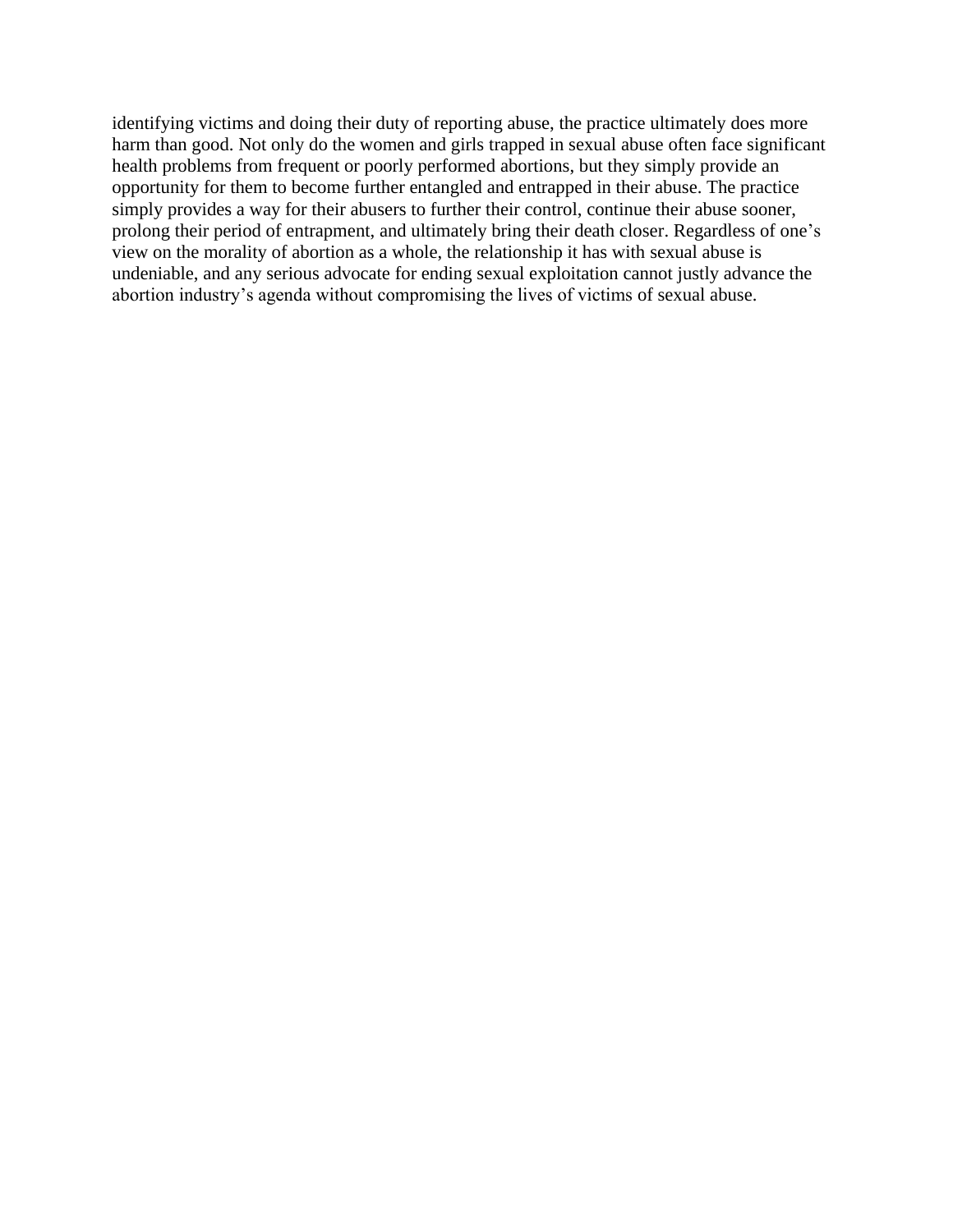identifying victims and doing their duty of reporting abuse, the practice ultimately does more harm than good. Not only do the women and girls trapped in sexual abuse often face significant health problems from frequent or poorly performed abortions, but they simply provide an opportunity for them to become further entangled and entrapped in their abuse. The practice simply provides a way for their abusers to further their control, continue their abuse sooner, prolong their period of entrapment, and ultimately bring their death closer. Regardless of one's view on the morality of abortion as a whole, the relationship it has with sexual abuse is undeniable, and any serious advocate for ending sexual exploitation cannot justly advance the abortion industry's agenda without compromising the lives of victims of sexual abuse.